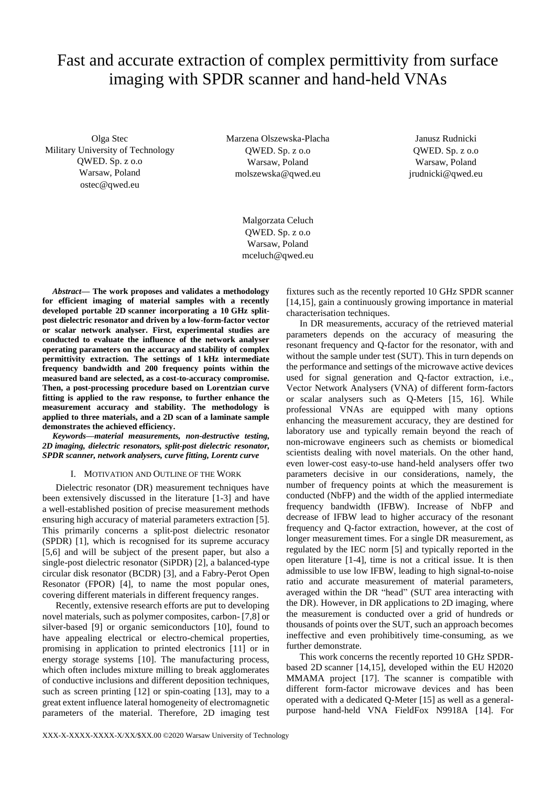# Fast and accurate extraction of complex permittivity from surface imaging with SPDR scanner and hand-held VNAs

Olga Stec Military University of Technology QWED. Sp. z o.o Warsaw, Poland ostec@qwed.eu

Marzena Olszewska-Placha QWED. Sp. z o.o Warsaw, Poland molszewska@qwed.eu

Janusz Rudnicki QWED. Sp. z o.o Warsaw, Poland jrudnicki@qwed.eu

Malgorzata Celuch QWED. Sp. z o.o Warsaw, Poland mceluch@qwed.eu

*Abstract***— The work proposes and validates a methodology for efficient imaging of material samples with a recently developed portable 2D scanner incorporating a 10 GHz splitpost dielectric resonator and driven by a low-form-factor vector or scalar network analyser. First, experimental studies are conducted to evaluate the influence of the network analyser operating parameters on the accuracy and stability of complex permittivity extraction. The settings of 1 kHz intermediate frequency bandwidth and 200 frequency points within the measured band are selected, as a cost-to-accuracy compromise. Then, a post-processing procedure based on Lorentzian curve fitting is applied to the raw response, to further enhance the measurement accuracy and stability. The methodology is applied to three materials, and a 2D scan of a laminate sample demonstrates the achieved efficiency.**

*Keywords—material measurements, non-destructive testing, 2D imaging, dielectric resonators, split-post dielectric resonator, SPDR scanner, network analysers, curve fitting, Lorentz curve*

## I. MOTIVATION AND OUTLINE OF THE WORK

Dielectric resonator (DR) measurement techniques have been extensively discussed in the literature [1-3] and have a well-established position of precise measurement methods ensuring high accuracy of material parameters extraction [5]. This primarily concerns a split-post dielectric resonator (SPDR) [1], which is recognised for its supreme accuracy [5,6] and will be subject of the present paper, but also a single-post dielectric resonator (SiPDR) [2], a balanced-type circular disk resonator (BCDR) [3], and a Fabry-Perot Open Resonator (FPOR) [4], to name the most popular ones, covering different materials in different frequency ranges.

Recently, extensive research efforts are put to developing novel materials, such as polymer composites, carbon- [7,8] or silver-based [9] or organic semiconductors [10], found to have appealing electrical or electro-chemical properties, promising in application to printed electronics [11] or in energy storage systems [10]. The manufacturing process, which often includes mixture milling to break agglomerates of conductive inclusions and different deposition techniques, such as screen printing [12] or spin-coating [13], may to a great extent influence lateral homogeneity of electromagnetic parameters of the material. Therefore, 2D imaging test

fixtures such as the recently reported 10 GHz SPDR scanner [14,15], gain a continuously growing importance in material characterisation techniques.

In DR measurements, accuracy of the retrieved material parameters depends on the accuracy of measuring the resonant frequency and Q-factor for the resonator, with and without the sample under test (SUT). This in turn depends on the performance and settings of the microwave active devices used for signal generation and Q-factor extraction, i.e., Vector Network Analysers (VNA) of different form-factors or scalar analysers such as Q-Meters [15, 16]. While professional VNAs are equipped with many options enhancing the measurement accuracy, they are destined for laboratory use and typically remain beyond the reach of non-microwave engineers such as chemists or biomedical scientists dealing with novel materials. On the other hand, even lower-cost easy-to-use hand-held analysers offer two parameters decisive in our considerations, namely, the number of frequency points at which the measurement is conducted (NbFP) and the width of the applied intermediate frequency bandwidth (IFBW). Increase of NbFP and decrease of IFBW lead to higher accuracy of the resonant frequency and Q-factor extraction, however, at the cost of longer measurement times. For a single DR measurement, as regulated by the IEC norm [5] and typically reported in the open literature [1-4], time is not a critical issue. It is then admissible to use low IFBW, leading to high signal-to-noise ratio and accurate measurement of material parameters, averaged within the DR "head" (SUT area interacting with the DR). However, in DR applications to 2D imaging, where the measurement is conducted over a grid of hundreds or thousands of points over the SUT, such an approach becomes ineffective and even prohibitively time-consuming, as we further demonstrate.

This work concerns the recently reported 10 GHz SPDRbased 2D scanner [14,15], developed within the EU H2020 MMAMA project [17]. The scanner is compatible with different form-factor microwave devices and has been operated with a dedicated Q-Meter [15] as well as a generalpurpose hand-held VNA FieldFox N9918A [14]. For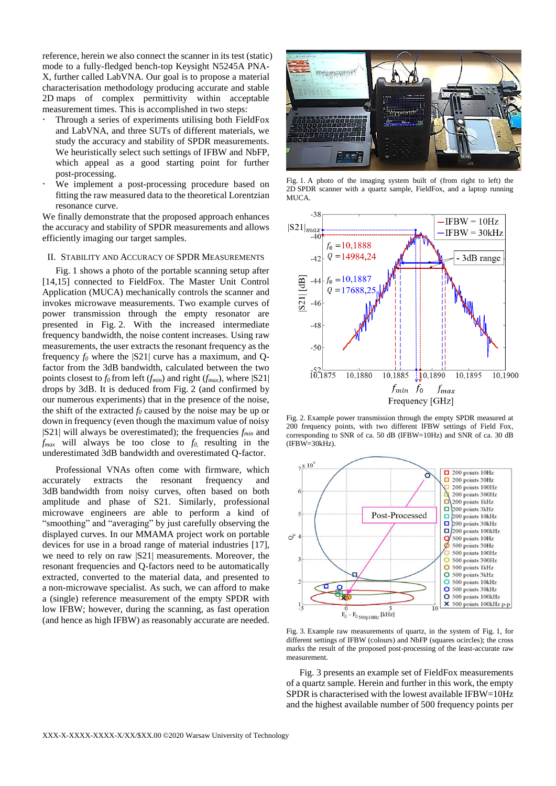reference, herein we also connect the scanner in its test (static) mode to a fully-fledged bench-top Keysight N5245A PNA-X, further called LabVNA. Our goal is to propose a material characterisation methodology producing accurate and stable 2D maps of complex permittivity within acceptable measurement times. This is accomplished in two steps:

- Through a series of experiments utilising both FieldFox and LabVNA, and three SUTs of different materials, we study the accuracy and stability of SPDR measurements. We heuristically select such settings of IFBW and NbFP, which appeal as a good starting point for further post-processing.
- We implement a post-processing procedure based on fitting the raw measured data to the theoretical Lorentzian resonance curve.

We finally demonstrate that the proposed approach enhances the accuracy and stability of SPDR measurements and allows efficiently imaging our target samples.

## II. STABILITY AND ACCURACY OF SPDR MEASUREMENTS

Fig. 1 shows a photo of the portable scanning setup after [14,15] connected to FieldFox. The Master Unit Control Application (MUCA) mechanically controls the scanner and invokes microwave measurements. Two example curves of power transmission through the empty resonator are presented in Fig. 2. With the increased intermediate frequency bandwidth, the noise content increases. Using raw measurements, the user extracts the resonant frequency as the frequency  $f_0$  where the  $|S21|$  curve has a maximum, and Qfactor from the 3dB bandwidth, calculated between the two points closest to *f0* from left (*fmin*) and right (*fmax*), where |S21| drops by 3dB. It is deduced from Fig. 2 (and confirmed by our numerous experiments) that in the presence of the noise, the shift of the extracted  $f_0$  caused by the noise may be up or down in frequency (even though the maximum value of noisy |S21| will always be overestimated); the frequencies *fmin* and *fmax* will always be too close to *f0*, resulting in the underestimated 3dB bandwidth and overestimated Q-factor.

Professional VNAs often come with firmware, which accurately extracts the resonant frequency and 3dB bandwidth from noisy curves, often based on both amplitude and phase of S21. Similarly, professional microwave engineers are able to perform a kind of "smoothing" and "averaging" by just carefully observing the displayed curves. In our MMAMA project work on portable devices for use in a broad range of material industries [17], we need to rely on raw |S21| measurements. Moreover, the resonant frequencies and Q-factors need to be automatically extracted, converted to the material data, and presented to a non-microwave specialist. As such, we can afford to make a (single) reference measurement of the empty SPDR with low IFBW; however, during the scanning, as fast operation (and hence as high IFBW) as reasonably accurate are needed.



Fig. 1. A photo of the imaging system built of (from right to left) the 2D SPDR scanner with a quartz sample, FieldFox, and a laptop running MUCA.



Fig. 2. Example power transmission through the empty SPDR measured at 200 frequency points, with two different IFBW settings of Field Fox, corresponding to SNR of ca. 50 dB (IFBW=10Hz) and SNR of ca. 30 dB  $(IFBW=30kHz)$ .



Fig. 3. Example raw measurements of quartz, in the system of Fig. 1, for different settings of IFBW (colours) and NbFP (squares ocircles); the cross marks the result of the proposed post-processing of the least-accurate raw measurement.

Fig. 3 presents an example set of FieldFox measurements of a quartz sample. Herein and further in this work, the empty SPDR is characterised with the lowest available IFBW=10Hz and the highest available number of 500 frequency points per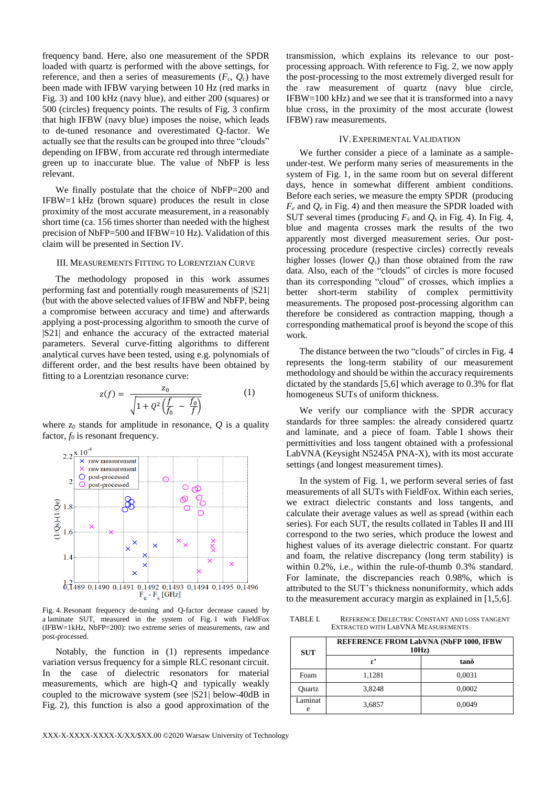frequency band. Here, also one measurement of the SPDR loaded with quartz is performed with the above settings, for reference, and then a series of measurements  $(F_c, Q_c)$  have been made with IFBW varying between 10 Hz (red marks in Fig. 3) and 100 kHz (navy blue), and either 200 (squares) or 500 (circles) frequency points. The results of Fig. 3 confirm that high IFBW (navy blue) imposes the noise, which leads to de-tuned resonance and overestimated Q-factor. We actually see that the results can be grouped into three "clouds" depending on IFBW, from accurate red through intermediate green up to inaccurate blue. The value of NbFP is less relevant.

We finally postulate that the choice of NbFP=200 and IFBW=1 kHz (brown square) produces the result in close proximity of the most accurate measurement, in a reasonably short time (ca. 156 times shorter than needed with the highest precision of NbFP=500 and IFBW=10 Hz). Validation of this claim will be presented in Section IV.

## III. MEASUREMENTS FITTING TO LORENTZIAN CURVE

The methodology proposed in this work assumes performing fast and potentially rough measurements of |S21| (but with the above selected values of IFBW and NbFP, being a compromise between accuracy and time) and afterwards applying a post-processing algorithm to smooth the curve of |S21| and enhance the accuracy of the extracted material parameters. Several curve-fitting algorithms to different analytical curves have been tested, using e.g. polynomials of different order, and the best results have been obtained by fitting to a Lorentzian resonance curve:

$$
z(f) = \frac{z_0}{\sqrt{1 + Q^2 \left(\frac{f}{f_0} - \frac{f_0}{f}\right)}}\tag{1}
$$

where  $z_0$  stands for amplitude in resonance,  $\hat{O}$  is a quality factor,  $f_0$  is resonant frequency.



Fig. 4. Resonant frequency de-tuning and Q-factor decrease caused by a laminate SUT, measured in the system of Fig. 1 with FieldFox (IFBW=1kHz, NbFP=200): two extreme series of measurements, raw and post-processed.

Notably, the function in (1) represents impedance variation versus frequency for a simple RLC resonant circuit. In the case of dielectric resonators for material measurements, which are high-Q and typically weakly coupled to the microwave system (see |S21| below-40dB in Fig. 2), this function is also a good approximation of the

transmission, which explains its relevance to our postprocessing approach. With reference to Fig. 2, we now apply the post-processing to the most extremely diverged result for the raw measurement of quartz (navy blue circle, IFBW=100 kHz) and we see that it is transformed into a navy blue cross, in the proximity of the most accurate (lowest IFBW) raw measurements.

## IV.EXPERIMENTAL VALIDATION

We further consider a piece of a laminate as a sampleunder-test. We perform many series of measurements in the system of Fig. 1, in the same room but on several different days, hence in somewhat different ambient conditions. Before each series, we measure the empty SPDR (producing *F<sup>e</sup>* and *Q<sup>e</sup>* in Fig. 4) and then measure the SPDR loaded with SUT several times (producing  $F_s$  and  $Q_s$  in Fig. 4). In Fig. 4, blue and magenta crosses mark the results of the two apparently most diverged measurement series. Our postprocessing procedure (respective circles) correctly reveals higher losses (lower  $Q_s$ ) than those obtained from the raw data. Also, each of the "clouds" of circles is more focused than its corresponding "cloud" of crosses, which implies a better short-term stability of complex permittivity measurements. The proposed post-processing algorithm can therefore be considered as contraction mapping, though a corresponding mathematical proof is beyond the scope of this work.

The distance between the two "clouds" of circles in Fig. 4 represents the long-term stability of our measurement methodology and should be within the accuracy requirements dictated by the standards [5,6] which average to 0.3% for flat homogeneus SUTs of uniform thickness.

We verify our compliance with the SPDR accuracy standards for three samples: the already considered quartz and laminate, and a piece of foam. Table I shows their permittivities and loss tangent obtained with a professional LabVNA (Keysight N5245A PNA-X), with its most accurate settings (and longest measurement times).

In the system of Fig. 1, we perform several series of fast measurements of all SUTs with FieldFox. Within each series, we extract dielectric constants and loss tangents, and calculate their average values as well as spread (within each series). For each SUT, the results collated in Tables II and III correspond to the two series, which produce the lowest and highest values of its average dielectric constant. For quartz and foam, the relative discrepancy (long term stability) is within 0.2%, i.e., within the rule-of-thumb 0.3% standard. For laminate, the discrepancies reach 0.98%, which is attributed to the SUT's thickness nonuniformity, which adds to the measurement accuracy margin as explained in [1,5,6].

TABLE I. REFERENCE DIELECTRIC CONSTANT AND LOSS TANGENT EXTRACTED WITH LABVNA MEASUREMENTS

| SUT          | REFERENCE FROM LabVNA (NbFP 1000, IFBW<br>$10Hz$ ) |        |  |  |
|--------------|----------------------------------------------------|--------|--|--|
|              | ډ,                                                 | tano   |  |  |
| Foam         | 1,1281                                             | 0,0031 |  |  |
| Ouartz       | 3,8248                                             | 0,0002 |  |  |
| Laminat<br>e | 3,6857                                             | 0.0049 |  |  |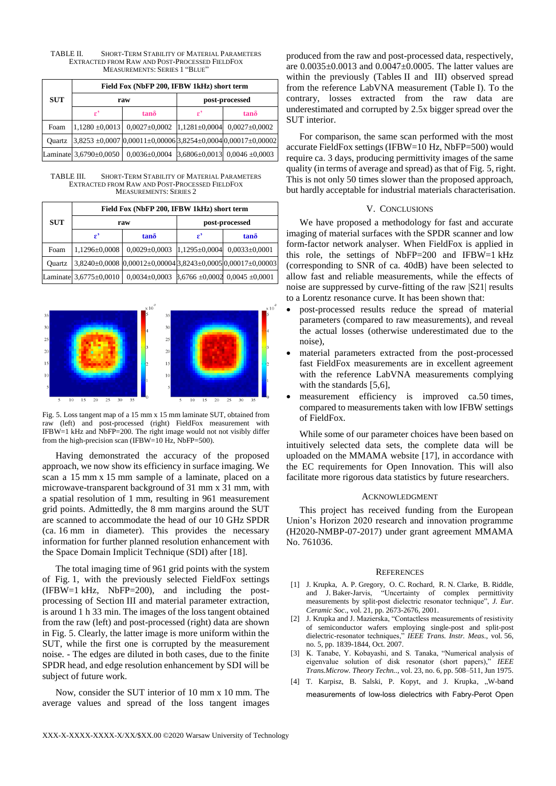| <b>SUT</b> | Field Fox (NbFP 200, IFBW 1kHz) short term |                                                                   |                |                                                         |  |
|------------|--------------------------------------------|-------------------------------------------------------------------|----------------|---------------------------------------------------------|--|
|            | raw                                        |                                                                   | post-processed |                                                         |  |
|            |                                            | $tan\delta$                                                       | £,             | $tan\delta$                                             |  |
| Foam       | $1,1280 \pm 0,0013$                        | $0.0027 \pm 0.0002$ 1.1281 $\pm 0.0004$ 0.0027 $\pm 0.0002$       |                |                                                         |  |
| Ouartz     |                                            | $3,8253 \pm 0,0007$ 0,00011±0,00006 3,8254±0,0004 0,00017±0,00002 |                |                                                         |  |
|            | Laminate $3,6790\pm0,0050$                 |                                                                   |                | $0,0036\pm0,0004$ 3.6806 $\pm0,0013$ 0.0046 $\pm0,0003$ |  |

TABLE II. SHORT-TERM STABILITY OF MATERIAL PARAMETERS EXTRACTED FROM RAW AND POST-PROCESSED FIELDFOX MEASUREMENTS: SERIES 1 "BLUE"

TABLE III. SHORT-TERM STABILITY OF MATERIAL PARAMETERS EXTRACTED FROM RAW AND POST-PROCESSED FIELDFOX MEASUREMENTS: SERIES 2

| <b>SUT</b> |        | Field Fox (NbFP 200, IFBW 1kHz) short term |                                                               |               |                   |  |
|------------|--------|--------------------------------------------|---------------------------------------------------------------|---------------|-------------------|--|
|            | raw    |                                            | post-processed                                                |               |                   |  |
|            |        | £,                                         | $tan\delta$                                                   | £,            | $tan\delta$       |  |
|            | Foam   | $1,1296\pm0,0008$                          | $0,0029 \pm 0,0003$                                           | 1,1295±0,0004 | $0,0033\pm0,0001$ |  |
|            | Ouartz |                                            | $3,8240\pm0,0008$ 0.00012±0,000043,8243±0,00050,00017±0,00003 |               |                   |  |
|            |        | Laminate 3,6775±0,0010                     | $0,0034\pm0,0003$ $B,6766\pm0,0002$ $0,0045\pm0,0001$         |               |                   |  |



Fig. 5. Loss tangent map of a 15 mm x 15 mm laminate SUT, obtained from raw (left) and post-processed (right) FieldFox measurement with IFBW=1 kHz and NbFP=200. The right image would not not visibly differ from the high-precision scan (IFBW=10 Hz, NbFP=500).

Having demonstrated the accuracy of the proposed approach, we now show its efficiency in surface imaging. We scan a 15 mm x 15 mm sample of a laminate, placed on a microwave-transparent background of 31 mm x 31 mm, with a spatial resolution of 1 mm, resulting in 961 measurement grid points. Admittedly, the 8 mm margins around the SUT are scanned to accommodate the head of our 10 GHz SPDR (ca. 16 mm in diameter). This provides the necessary information for further planned resolution enhancement with the Space Domain Implicit Technique (SDI) after [18].

The total imaging time of 961 grid points with the system of Fig. 1, with the previously selected FieldFox settings (IFBW=1 kHz, NbFP=200), and including the postprocessing of Section III and material parameter extraction, is around 1 h 33 min. The images of the loss tangent obtained from the raw (left) and post-processed (right) data are shown in Fig. 5. Clearly, the latter image is more uniform within the SUT, while the first one is corrupted by the measurement noise. - The edges are diluted in both cases, due to the finite SPDR head, and edge resolution enhancement by SDI will be subject of future work.

Now, consider the SUT interior of 10 mm x 10 mm. The average values and spread of the loss tangent images

produced from the raw and post-processed data, respectively, are 0.0035±0.0013 and 0.0047±0.0005. The latter values are within the previously (Tables II and III) observed spread from the reference LabVNA measurement (Table I). To the contrary, losses extracted from the raw data are underestimated and corrupted by 2.5x bigger spread over the SUT interior.

For comparison, the same scan performed with the most accurate FieldFox settings (IFBW=10 Hz, NbFP=500) would require ca. 3 days, producing permittivity images of the same quality (in terms of average and spread) as that of Fig. 5, right. This is not only 50 times slower than the proposed approach, but hardly acceptable for industrial materials characterisation.

## V. CONCLUSIONS

We have proposed a methodology for fast and accurate imaging of material surfaces with the SPDR scanner and low form-factor network analyser. When FieldFox is applied in this role, the settings of NbFP=200 and IFBW=1 kHz (corresponding to SNR of ca. 40dB) have been selected to allow fast and reliable measurements, while the effects of noise are suppressed by curve-fitting of the raw |S21| results to a Lorentz resonance curve. It has been shown that:

- post-processed results reduce the spread of material parameters (compared to raw measurements), and reveal the actual losses (otherwise underestimated due to the noise),
- material parameters extracted from the post-processed fast FieldFox measurements are in excellent agreement with the reference LabVNA measurements complying with the standards [5,6],
- measurement efficiency is improved ca.50 times, compared to measurements taken with low IFBW settings of FieldFox.

While some of our parameter choices have been based on intuitively selected data sets, the complete data will be uploaded on the MMAMA website [17], in accordance with the EC requirements for Open Innovation. This will also facilitate more rigorous data statistics by future researchers.

### ACKNOWLEDGMENT

This project has received funding from the European Union's Horizon 2020 research and innovation programme (H2020-NMBP-07-2017) under grant agreement MMAMA No. 761036.

### REFERENCES

- [1] J. Krupka, A. P. Gregory, O. C. Rochard, R. N. Clarke, B. Riddle, and J. Baker-Jarvis, "Uncertainty of complex permittivity measurements by split-post dielectric resonator technique", *J. Eur. Ceramic Soc*., vol. 21, pp. 2673-2676, 2001.
- [2] J. Krupka and J. Mazierska, "Contactless measurements of resistivity of semiconductor wafers employing single-post and split-post dielectric-resonator techniques," *IEEE Trans. Instr. Meas*., vol. 56, no. 5, pp. 1839-1844, Oct. 2007.
- [3] K. Tanabe, Y. Kobayashi, and S. Tanaka, "Numerical analysis of eigenvalue solution of disk resonator (short papers)," *IEEE Trans.Microw. Theory Techn..*, vol. 23, no. 6, pp. 508–511, Jun 1975.
- [4] T. Karpisz, B. Salski, P. Kopyt, and J. Krupka, ..W-band measurements of low-loss dielectrics with Fabry-Perot Open